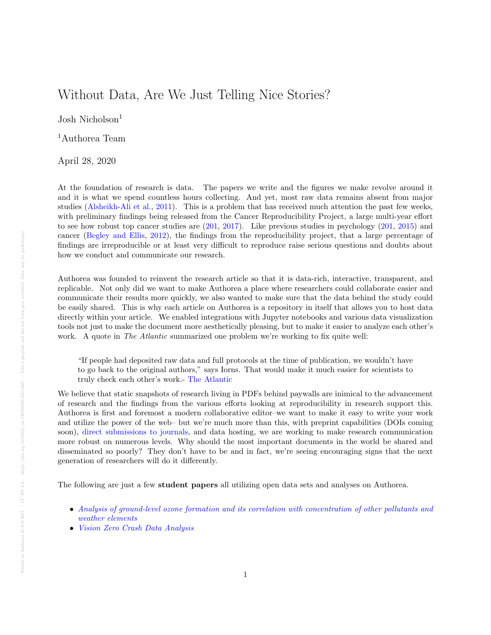## Without Data, Are We Just Telling Nice Stories?

Josh Nicholson<sup>1</sup>

<sup>1</sup>Authorea Team

April 28, 2020

At the foundation of research is data. The papers we write and the figures we make revolve around it and it is what we spend countless hours collecting. And yet, most raw data remains absent from major studies [\(Alsheikh-Ali et al.,](#page-1-0) [2011\)](#page-1-0). This is a problem that has received much attention the past few weeks, with preliminary findings being released from the Cancer Reproducibility Project, a large multi-year effort to see how robust top cancer studies are  $(201, 2017)$  $(201, 2017)$  $(201, 2017)$ . Like previous studies in psychology  $(201, 2015)$  $(201, 2015)$  and cancer [\(Begley and Ellis,](#page-1-3) [2012\)](#page-1-3), the findings from the reproducibility project, that a large percentage of findings are irreproducible or at least very difficult to reproduce raise serious questions and doubts about how we conduct and communicate our research.

Authorea was founded to reinvent the research article so that it is data-rich, interactive, transparent, and replicable. Not only did we want to make Authorea a place where researchers could collaborate easier and communicate their results more quickly, we also wanted to make sure that the data behind the study could be easily shared. This is why each article on Authorea is a repository in itself that allows you to host data directly within your article. We enabled integrations with Jupyter notebooks and various data visualization tools not just to make the document more aesthetically pleasing, but to make it easier to analyze each other's work. A quote in *The Atlantic* summarized one problem we're working to fix quite well:

"If people had deposited raw data and full protocols at the time of publication, we wouldn't have to go back to the original authors," says Iorns. That would make it much easier for scientists to truly check each other's work.- [The Atlantic](https://www.theatlantic.com/science/archive/2017/01/what-proportion-of-cancer-studies-are-reliable/513485/)

We believe that static snapshots of research living in PDFs behind paywalls are inimical to the advancement of research and the findings from the various efforts looking at reproducibility in research support this. Authorea is first and foremost a modern collaborative editor–we want to make it easy to write your work and utilize the power of the web– but we're much more than this, with preprint capabilities (DOIs coming soon), [direct submissions to journals,](https://www.authorea.com/users/8850/articles/149449) and data hosting, we are working to make research communication more robust on numerous levels. Why should the most important documents in the world be shared and disseminated so poorly? They don't have to be and in fact, we're seeing encouraging signs that the next generation of researchers will do it differently.

The following are just a few student papers all utilizing open data sets and analyses on Authorea.

- [Analysis of ground-level ozone formation and its correlation with concentration of other pollutants and](https://www.authorea.com/users/106766/articles/144150/_show_article) [weather elements](https://www.authorea.com/users/106766/articles/144150/_show_article)
- [Vision Zero Crash Data Analysis](https://www.authorea.com/users/106636/articles/144151/_show_article)